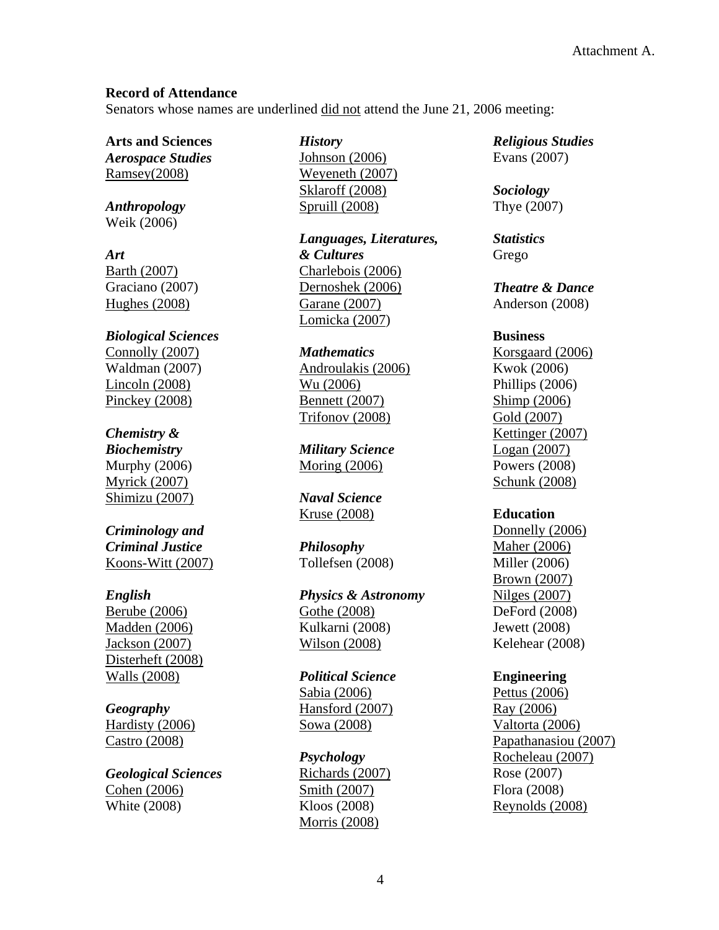### **Record of Attendance**

Senators whose names are underlined did not attend the June 21, 2006 meeting:

**Arts and Sciences**  *Aerospace Studies*

*Anthropology* Weik (2006)

Ramsey(2008)

*Art*  Barth (2007) Graciano (2007) Hughes (2008)

*Biological Sciences* Connolly (2007) Waldman (2007) Lincoln (2008) Pinckey (2008)

# *Chemistry &*

*Biochemistry*  Murphy (2006) Myrick (2007) Shimizu (2007)

*Criminology and Criminal Justice*  Koons-Witt (2007)

#### *English*

Berube (2006) Madden (2006) Jackson (2007) Disterheft (2008) Walls (2008)

# *Geography*

Hardisty (2006) Castro (2008)

*Geological Sciences*  Cohen (2006) White (2008)

*History* 

Johnson (2006) Weyeneth (2007) Sklaroff (2008) Spruill (2008)

*Languages, Literatures, & Cultures* Charlebois (2006) Dernoshek (2006) Garane (2007) Lomicka (2007)

*Mathematics*  Androulakis (2006) Wu (2006) Bennett (2007) Trifonov (2008)

*Military Science*  Moring (2006)

*Naval Science*  Kruse (2008)

*Philosophy* Tollefsen (2008)

*Physics & Astronomy* Gothe (2008) Kulkarni (2008) Wilson (2008)

*Political Science*  Sabia (2006) Hansford (2007) Sowa (2008)

*Psychology* Richards (2007) Smith (2007) Kloos (2008) Morris (2008)

*Religious Studies*  Evans (2007)

*Sociology*  Thye (2007)

*Statistics* Grego

*Theatre & Dance*  Anderson (2008)

#### **Business**

Korsgaard (2006) Kwok (2006) Phillips (2006) Shimp (2006) Gold (2007) Kettinger (2007) Logan (2007) Powers (2008) Schunk (2008)

#### **Education**

Donnelly (2006) Maher (2006) Miller (2006) Brown (2007) Nilges (2007) DeFord (2008) Jewett (2008) Kelehear (2008)

#### **Engineering**

Pettus (2006) Ray (2006) Valtorta (2006) Papathanasiou (2007) Rocheleau (2007) Rose (2007) Flora (2008) Reynolds (2008)